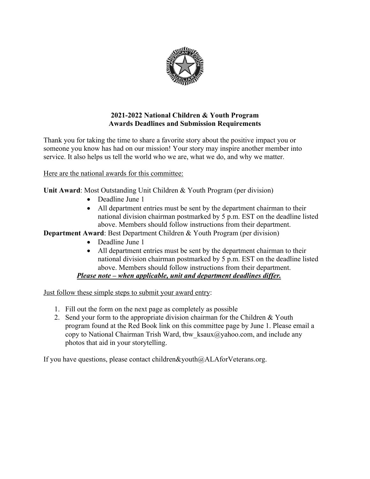

## **2021-2022 National Children & Youth Program Awards Deadlines and Submission Requirements**

Thank you for taking the time to share a favorite story about the positive impact you or someone you know has had on our mission! Your story may inspire another member into service. It also helps us tell the world who we are, what we do, and why we matter.

Here are the national awards for this committee:

**Unit Award**: Most Outstanding Unit Children & Youth Program (per division)

- Deadline June 1
- All department entries must be sent by the department chairman to their national division chairman postmarked by 5 p.m. EST on the deadline listed above. Members should follow instructions from their department.

**Department Award:** Best Department Children & Youth Program (per division)

- Deadline June 1
- All department entries must be sent by the department chairman to their national division chairman postmarked by 5 p.m. EST on the deadline listed above. Members should follow instructions from their department.

*Please note – when applicable, unit and department deadlines differ.*

Just follow these simple steps to submit your award entry:

- 1. Fill out the form on the next page as completely as possible
- 2. Send your form to the appropriate division chairman for the Children & Youth program found at the Red Book link on this committee page by June 1. Please email a copy to National Chairman Trish Ward, tbw  $ksaux@yahoo.com$ , and include any photos that aid in your storytelling.

If you have questions, please contact children&youth@ALAforVeterans.org.